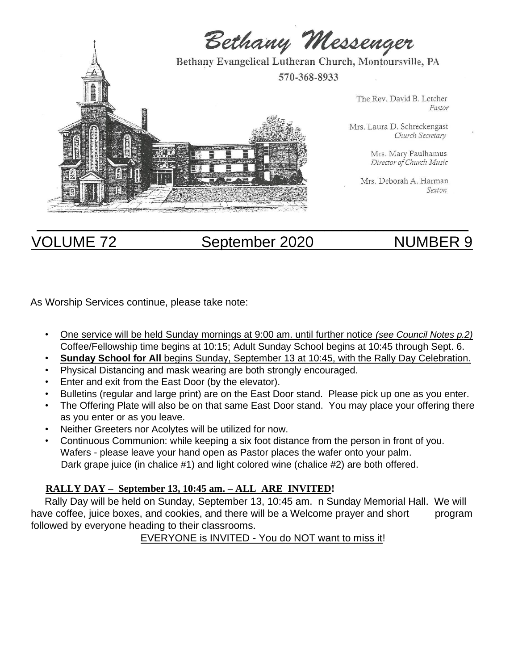

# VOLUME 72 September 2020 NUMBER 9

As Worship Services continue, please take note:

- One service will be held Sunday mornings at 9:00 am. until further notice *(see Council Notes p.2)* Coffee/Fellowship time begins at 10:15; Adult Sunday School begins at 10:45 through Sept. 6.
- **Sunday School for All** begins Sunday, September 13 at 10:45, with the Rally Day Celebration.
- Physical Distancing and mask wearing are both strongly encouraged.
- Enter and exit from the East Door (by the elevator).
- Bulletins (regular and large print) are on the East Door stand. Please pick up one as you enter.
- The Offering Plate will also be on that same East Door stand. You may place your offering there as you enter or as you leave.
- Neither Greeters nor Acolytes will be utilized for now.
- Continuous Communion: while keeping a six foot distance from the person in front of you. Wafers - please leave your hand open as Pastor places the wafer onto your palm. Dark grape juice (in chalice #1) and light colored wine (chalice #2) are both offered.

#### **RALLY DAY – September 13, 10:45 am. – ALL ARE INVITED!**

 Rally Day will be held on Sunday, September 13, 10:45 am. n Sunday Memorial Hall. We will have coffee, juice boxes, and cookies, and there will be a Welcome prayer and short program followed by everyone heading to their classrooms.

EVERYONE is INVITED - You do NOT want to miss it!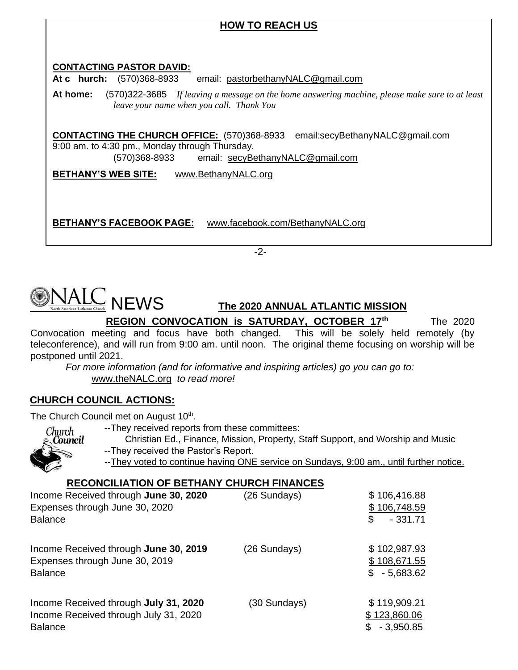# **HOW TO REACH US CONTACTING PASTOR DAVID: At c hurch:** (570)368-8933 email: pastorbethanyNALC@gmail.com **At home:** (570)322-3685 *If leaving a message on the home answering machine, please make sure to at least leave your name when you call. Thank You* **CONTACTING THE CHURCH OFFICE:** (570)368-8933 email:secyBethanyNALC@gmail.com 9:00 am. to 4:30 pm., Monday through Thursday. (570)368-8933 email: secyBethanyNALC@gmail.com **BETHANY'S WEB SITE:** www.BethanyNALC.org **BETHANY'S FACEBOOK PAGE:** www.facebook.com/BethanyNALC.org

-2-



 **REGION CONVOCATION is SATURDAY, OCTOBER 17th** The 2020 Convocation meeting and focus have both changed. This will be solely held remotely (by teleconference), and will run from 9:00 am. until noon. The original theme focusing on worship will be postponed until 2021.

 *For more information (and for informative and inspiring articles) go you can go to:* www.theNALC.org *to read more!* 

## **CHURCH COUNCIL ACTIONS:**

The Church Council met on August 10<sup>th</sup>.

--They received reports from these committees:



 Christian Ed., Finance, Mission, Property, Staff Support, and Worship and Music --They received the Pastor's Report.

--They voted to continue having ONE service on Sundays, 9:00 am., until further notice.

### **RECONCILIATION OF BETHANY CHURCH FINANCES**

| Income Received through June 30, 2020<br>Expenses through June 30, 2020<br><b>Balance</b>        | (26 Sundays) | \$106,416.88<br>\$106,748.59<br>$-331.71$<br>\$   |
|--------------------------------------------------------------------------------------------------|--------------|---------------------------------------------------|
| Income Received through June 30, 2019<br>Expenses through June 30, 2019<br><b>Balance</b>        | (26 Sundays) | \$102,987.93<br>\$108,671.55<br>$-5,683.62$<br>S. |
| Income Received through July 31, 2020<br>Income Received through July 31, 2020<br><b>Balance</b> | (30 Sundays) | \$119,909.21<br>\$123,860.06<br>$-3.950.85$       |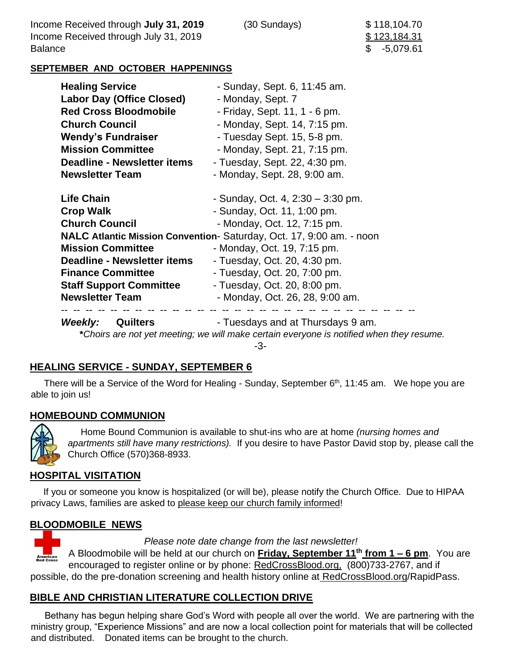Income Received through **July 31, 2019** (30 Sundays) \$ 118,104.70 Income Received through July 31, 2019 **\$123,184.31 Balance** 

\$ -5,079.61

#### **SEPTEMBER AND OCTOBER HAPPENINGS**

| <b>Healing Service</b>             | - Sunday, Sept. 6, 11:45 am.                                         |
|------------------------------------|----------------------------------------------------------------------|
| <b>Labor Day (Office Closed)</b>   | - Monday, Sept. 7                                                    |
| <b>Red Cross Bloodmobile</b>       | - Friday, Sept. 11, 1 - 6 pm.                                        |
| <b>Church Council</b>              | - Monday, Sept. 14, 7:15 pm.                                         |
| <b>Wendy's Fundraiser</b>          | - Tuesday Sept. 15, 5-8 pm.                                          |
| <b>Mission Committee</b>           | - Monday, Sept. 21, 7:15 pm.                                         |
| <b>Deadline - Newsletter items</b> | - Tuesday, Sept. 22, 4:30 pm.                                        |
| <b>Newsletter Team</b>             | - Monday, Sept. 28, 9:00 am.                                         |
| <b>Life Chain</b>                  | - Sunday, Oct. 4, $2:30 - 3:30$ pm.                                  |
| <b>Crop Walk</b>                   | - Sunday, Oct. 11, 1:00 pm.                                          |
| <b>Church Council</b>              | - Monday, Oct. 12, 7:15 pm.                                          |
|                                    | NALC Atlantic Mission Convention- Saturday, Oct. 17, 9:00 am. - noon |
| <b>Mission Committee</b>           | - Monday, Oct. 19, 7:15 pm.                                          |
| Deadline - Newsletter items        | - Tuesday, Oct. 20, 4:30 pm.                                         |
| <b>Finance Committee</b>           | - Tuesday, Oct. 20, 7:00 pm.                                         |
| <b>Staff Support Committee</b>     | - Tuesday, Oct. 20, 8:00 pm.                                         |
| <b>Newsletter Team</b>             | - Monday, Oct. 26, 28, 9:00 am.                                      |

-3-

#### **HEALING SERVICE - SUNDAY, SEPTEMBER 6**

There will be a Service of the Word for Healing - Sunday, September 6<sup>th</sup>, 11:45 am. We hope you are able to join us!

#### **HOMEBOUND COMMUNION**



 Home Bound Communion is available to shut-ins who are at home *(nursing homes and apartments still have many restrictions).* If you desire to have Pastor David stop by, please call the Church Office (570)368-8933.

#### **HOSPITAL VISITATION**

 If you or someone you know is hospitalized (or will be), please notify the Church Office. Due to HIPAA privacy Laws, families are asked to please keep our church family informed!

#### **BLOODMOBILE NEWS**



 *Please note date change from the last newsletter!* 

A Bloodmobile will be held at our church on **Friday, September 11th from 1 – 6 pm**. You are encouraged to register online or by phone: RedCrossBlood.org, (800)733-2767, and if possible, do the pre-donation screening and health history online at RedCrossBlood.org/RapidPass.

#### **BIBLE AND CHRISTIAN LITERATURE COLLECTION DRIVE**

 Bethany has begun helping share God's Word with people all over the world. We are partnering with the ministry group, "Experience Missions" and are now a local collection point for materials that will be collected and distributed. Donated items can be brought to the church.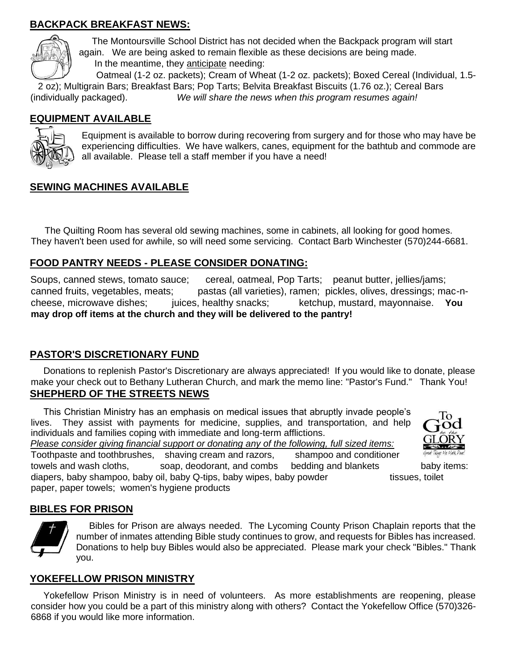### **BACKPACK BREAKFAST NEWS:**



 The Montoursville School District has not decided when the Backpack program will start again. We are being asked to remain flexible as these decisions are being made. In the meantime, they anticipate needing:

 Oatmeal (1-2 oz. packets); Cream of Wheat (1-2 oz. packets); Boxed Cereal (Individual, 1.5- 2 oz); Multigrain Bars; Breakfast Bars; Pop Tarts; Belvita Breakfast Biscuits (1.76 oz.); Cereal Bars (individually packaged). *We will share the news when this program resumes again!*

#### **EQUIPMENT AVAILABLE**



Equipment is available to borrow during recovering from surgery and for those who may have be experiencing difficulties. We have walkers, canes, equipment for the bathtub and commode are all available. Please tell a staff member if you have a need!

#### **SEWING MACHINES AVAILABLE**

 The Quilting Room has several old sewing machines, some in cabinets, all looking for good homes. They haven't been used for awhile, so will need some servicing. Contact Barb Winchester (570)244-6681.

#### **FOOD PANTRY NEEDS - PLEASE CONSIDER DONATING:**

Soups, canned stews, tomato sauce; cereal, oatmeal, Pop Tarts; peanut butter, jellies/jams; canned fruits, vegetables, meats; pastas (all varieties), ramen; pickles, olives, dressings; mac-ncheese, microwave dishes; juices, healthy snacks; ketchup, mustard, mayonnaise. **You may drop off items at the church and they will be delivered to the pantry!** 

#### **PASTOR'S DISCRETIONARY FUND**

 Donations to replenish Pastor's Discretionary are always appreciated! If you would like to donate, please make your check out to Bethany Lutheran Church, and mark the memo line: "Pastor's Fund." Thank You! **SHEPHERD OF THE STREETS NEWS**

 This Christian Ministry has an emphasis on medical issues that abruptly invade people's lives. They assist with payments for medicine, supplies, and transportation, and help individuals and families coping with immediate and long-term afflictions. *Please consider giving financial support or donating any of the following, full sized items:*

Toothpaste and toothbrushes, shaving cream and razors, shampoo and conditioner

GLORY

towels and wash cloths, soap, deodorant, and combs bedding and blankets baby items:

diapers, baby shampoo, baby oil, baby Q-tips, baby wipes, baby powder tissues, toilet

#### **BIBLES FOR PRISON**



 Bibles for Prison are always needed. The Lycoming County Prison Chaplain reports that the number of inmates attending Bible study continues to grow, and requests for Bibles has increased. Donations to help buy Bibles would also be appreciated. Please mark your check "Bibles." Thank you.

#### **YOKEFELLOW PRISON MINISTRY**

paper, paper towels; women's hygiene products

 Yokefellow Prison Ministry is in need of volunteers. As more establishments are reopening, please consider how you could be a part of this ministry along with others? Contact the Yokefellow Office (570)326- 6868 if you would like more information.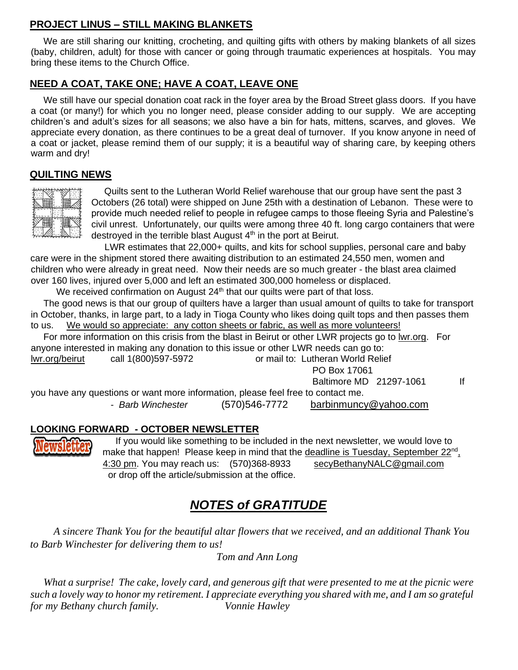### **PROJECT LINUS – STILL MAKING BLANKETS**

 We are still sharing our knitting, crocheting, and quilting gifts with others by making blankets of all sizes (baby, children, adult) for those with cancer or going through traumatic experiences at hospitals. You may bring these items to the Church Office.

### **NEED A COAT, TAKE ONE; HAVE A COAT, LEAVE ONE**

 We still have our special donation coat rack in the foyer area by the Broad Street glass doors. If you have a coat (or many!) for which you no longer need, please consider adding to our supply. We are accepting children's and adult's sizes for all seasons; we also have a bin for hats, mittens, scarves, and gloves. We appreciate every donation, as there continues to be a great deal of turnover. If you know anyone in need of a coat or jacket, please remind them of our supply; it is a beautiful way of sharing care, by keeping others warm and dry!

#### **QUILTING NEWS**



 Quilts sent to the Lutheran World Relief warehouse that our group have sent the past 3 Octobers (26 total) were shipped on June 25th with a destination of Lebanon. These were to provide much needed relief to people in refugee camps to those fleeing Syria and Palestine's civil unrest. Unfortunately, our quilts were among three 40 ft. long cargo containers that were destroyed in the terrible blast August 4<sup>th</sup> in the port at Beirut.

LWR estimates that 22,000+ quilts, and kits for school supplies, personal care and baby care were in the shipment stored there awaiting distribution to an estimated 24,550 men, women and children who were already in great need. Now their needs are so much greater - the blast area claimed over 160 lives, injured over 5,000 and left an estimated 300,000 homeless or displaced.

We received confirmation on August  $24<sup>th</sup>$  that our quilts were part of that loss.

 The good news is that our group of quilters have a larger than usual amount of quilts to take for transport in October, thanks, in large part, to a lady in Tioga County who likes doing quilt tops and then passes them to us. We would so appreciate: any cotton sheets or fabric, as well as more volunteers!

 For more information on this crisis from the blast in Beirut or other LWR projects go to [lwr.org.](http://lwr.org/) For anyone interested in making any donation to this issue or other LWR needs can go to:

[lwr.org/beirut](http://lwr.org/beirut) call 1(800)597-5972 or mail to: Lutheran World Relief

PO Box 17061

Baltimore MD 21297-1061 If

you have any questions or want more information, please feel free to contact me. - *Barb Winchester* (570)546-7772 barbinmuncy@yahoo.com

#### **LOOKING FORWARD - OCTOBER NEWSLETTER**



 If you would like something to be included in the next newsletter, we would love to make that happen! Please keep in mind that the deadline is Tuesday, September 22<sup>nd</sup>, 4:30 pm. You may reach us: (570)368-8933 secyBethanyNALC@gmail.com or drop off the article/submission at the office.

# *NOTES of GRATITUDE*

 *A sincere Thank You for the beautiful altar flowers that we received, and an additional Thank You to Barb Winchester for delivering them to us!* 

 *Tom and Ann Long*

 *What a surprise! The cake, lovely card, and generous gift that were presented to me at the picnic were such a lovely way to honor my retirement. I appreciate everything you shared with me, and I am so grateful for my Bethany church family. Vonnie Hawley*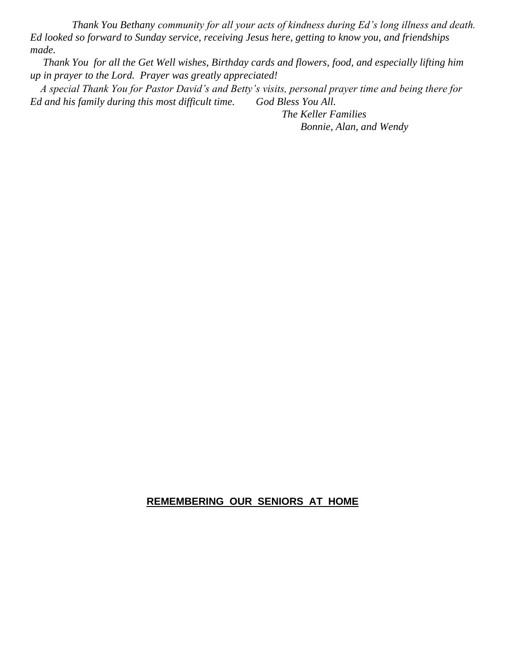*Thank You Bethany community for all your acts of kindness during Ed's long illness and death. Ed looked so forward to Sunday service, receiving Jesus here, getting to know you, and friendships made.* 

 *Thank You for all the Get Well wishes, Birthday cards and flowers, food, and especially lifting him up in prayer to the Lord. Prayer was greatly appreciated!* 

 *A special Thank You for Pastor David's and Betty's visits, personal prayer time and being there for Ed and his family during this most difficult time. God Bless You All.* 

> *The Keller Families Bonnie, Alan, and Wendy*

#### **REMEMBERING OUR SENIORS AT HOME**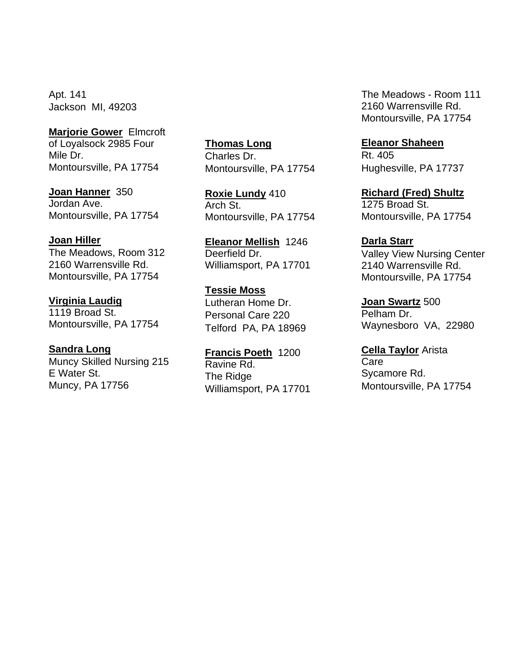Apt. 141 Jackson MI, 49203

**Marjorie Gower** Elmcroft of Loyalsock 2985 Four Mile Dr. Montoursville, PA 17754

**Joan Hanner** 350 Jordan Ave. Montoursville, PA 17754

#### **Joan Hiller**

The Meadows, Room 312 2160 Warrensville Rd. Montoursville, PA 17754

#### **Virginia Laudig**

1119 Broad St. Montoursville, PA 17754

#### **Sandra Long**

Muncy Skilled Nursing 215 E Water St. Muncy, PA 17756

**Thomas Long** Charles Dr. Montoursville, PA 17754

**Roxie Lundy** 410 Arch St. Montoursville, PA 17754

**Eleanor Mellish** 1246 Deerfield Dr. Williamsport, PA 17701

**Tessie Moss** Lutheran Home Dr. Personal Care 220 Telford PA, PA 18969

**Francis Poeth** 1200 Ravine Rd. The Ridge Williamsport, PA 17701 The Meadows - Room 111 2160 Warrensville Rd. Montoursville, PA 17754

**Eleanor Shaheen**

Rt. 405 Hughesville, PA 17737

**Richard (Fred) Shultz** 1275 Broad St. Montoursville, PA 17754

**Darla Starr** 

Valley View Nursing Center 2140 Warrensville Rd. Montoursville, PA 17754

**Joan Swartz** 500 Pelham Dr. Waynesboro VA, 22980

**Cella Taylor** Arista Care Sycamore Rd. Montoursville, PA 17754